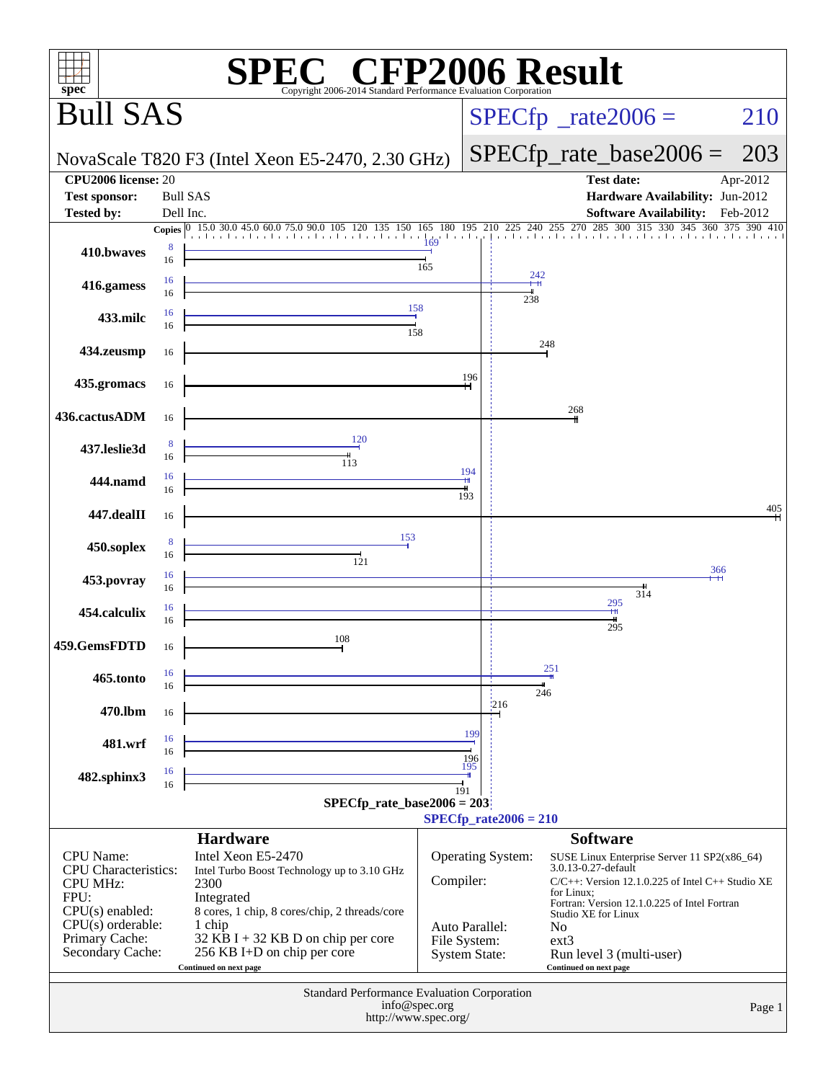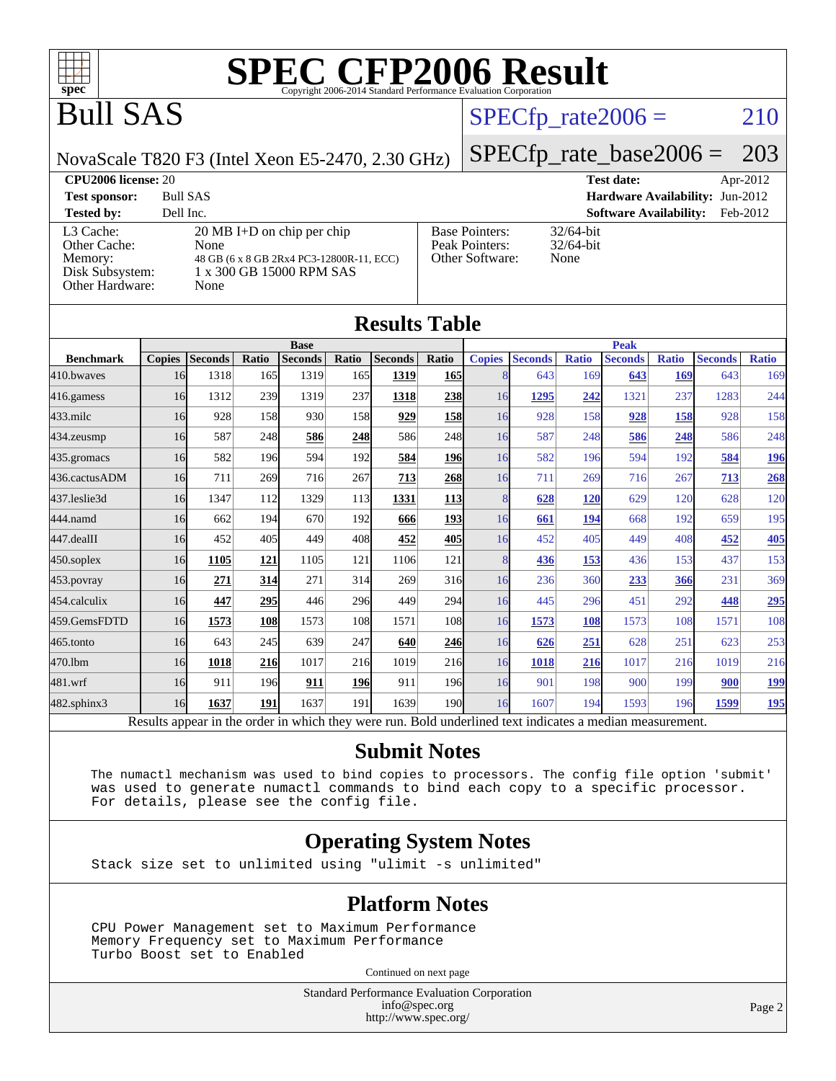

## Bull SAS

## $SPECTp_rate2006 = 210$

NovaScale T820 F3 (Intel Xeon E5-2470, 2.30 GHz)

## [SPECfp\\_rate\\_base2006 =](http://www.spec.org/auto/cpu2006/Docs/result-fields.html#SPECfpratebase2006) 203

#### **[CPU2006 license:](http://www.spec.org/auto/cpu2006/Docs/result-fields.html#CPU2006license)** 20 **[Test date:](http://www.spec.org/auto/cpu2006/Docs/result-fields.html#Testdate)** Apr-2012 **[Test sponsor:](http://www.spec.org/auto/cpu2006/Docs/result-fields.html#Testsponsor)** Bull SAS **[Hardware Availability:](http://www.spec.org/auto/cpu2006/Docs/result-fields.html#HardwareAvailability)** Jun-2012 **[Tested by:](http://www.spec.org/auto/cpu2006/Docs/result-fields.html#Testedby)** Dell Inc. **[Software Availability:](http://www.spec.org/auto/cpu2006/Docs/result-fields.html#SoftwareAvailability)** Feb-2012 [L3 Cache:](http://www.spec.org/auto/cpu2006/Docs/result-fields.html#L3Cache) 20 MB I+D on chip per chip<br>Other Cache: None [Other Cache:](http://www.spec.org/auto/cpu2006/Docs/result-fields.html#OtherCache) [Memory:](http://www.spec.org/auto/cpu2006/Docs/result-fields.html#Memory) 48 GB (6 x 8 GB 2Rx4 PC3-12800R-11, ECC) [Disk Subsystem:](http://www.spec.org/auto/cpu2006/Docs/result-fields.html#DiskSubsystem) 1 x 300 GB 15000 RPM SAS [Other Hardware:](http://www.spec.org/auto/cpu2006/Docs/result-fields.html#OtherHardware) None [Base Pointers:](http://www.spec.org/auto/cpu2006/Docs/result-fields.html#BasePointers) 32/64-bit<br>Peak Pointers: 32/64-bit [Peak Pointers:](http://www.spec.org/auto/cpu2006/Docs/result-fields.html#PeakPointers) [Other Software:](http://www.spec.org/auto/cpu2006/Docs/result-fields.html#OtherSoftware) None

| <b>Results Table</b> |                                                                                                          |                |       |                |                  |                |                 |               |                |              |                |              |                |              |
|----------------------|----------------------------------------------------------------------------------------------------------|----------------|-------|----------------|------------------|----------------|-----------------|---------------|----------------|--------------|----------------|--------------|----------------|--------------|
|                      |                                                                                                          |                |       | <b>Base</b>    |                  |                |                 |               |                |              | <b>Peak</b>    |              |                |              |
| <b>Benchmark</b>     | <b>Copies</b>                                                                                            | <b>Seconds</b> | Ratio | <b>Seconds</b> | Ratio            | <b>Seconds</b> | Ratio           | <b>Copies</b> | <b>Seconds</b> | <b>Ratio</b> | <b>Seconds</b> | <b>Ratio</b> | <b>Seconds</b> | <b>Ratio</b> |
| 410.bwayes           | 16                                                                                                       | 1318           | 165   | 1319           | 165 <sup>I</sup> | 1319           | <b>165</b>      | 8             | 643            | 169          | 643            | 169          | 643            | 169          |
| 416.gamess           | 16                                                                                                       | 1312           | 239   | 1319           | 237              | 1318           | 238             | 16            | 1295           | 242          | 1321           | 237          | 1283           | 244          |
| $433$ .milc          | 16                                                                                                       | 928            | 158   | 930            | 158              | 929            | <b>158</b>      | 16            | 928            | 158          | 928            | 158          | 928            | 158          |
| 434.zeusmp           | 16                                                                                                       | 587            | 248   | 586            | 248              | 586            | 248             | 16            | 587            | 248          | 586            | 248          | 586            | 248          |
| $435$ . gromacs      | 16                                                                                                       | 582            | 196   | 594            | 192              | 584            | <b>196</b>      | 16            | 582            | 196          | 594            | 192          | 584            | 196          |
| 436.cactusADM        | 16                                                                                                       | 711            | 269   | 716            | 267              | 713            | <b>268</b>      | 16            | 711            | 269          | 716            | 267          | 713            | 268          |
| 437.leslie3d         | 16                                                                                                       | 1347           | 112   | 1329           | 113              | 1331           | <u>113</u>      | 8             | 628            | 120          | 629            | 120          | 628            | 120          |
| 444.namd             | 16                                                                                                       | 662            | 194   | 670            | 192              | 666            | <u>193</u>      | 16            | 661            | 194          | 668            | 192          | 659            | 195          |
| $447$ .dealII        | 16                                                                                                       | 452            | 405   | 449            | 408              | 452            | 405             | 16            | 452            | 405          | 449            | 408          | 452            | 405          |
| $450$ .soplex        | 16                                                                                                       | 1105           | 121   | 1105           | 121              | 1106           | 121             | 8             | 436            | 153          | 436            | 153          | 437            | 153          |
| 453.povray           | 16                                                                                                       | 271            | 314   | 271            | 314              | 269            | 316             | 16            | 236            | 360          | 233            | 366          | 231            | 369          |
| 454.calculix         | 16                                                                                                       | 447            | 295   | 446            | 296              | 449            | 294             | 16            | 445            | 296          | 451            | 292          | 448            | 295          |
| 459.GemsFDTD         | 16                                                                                                       | 1573           | 108   | 1573           | 108              | 1571           | 10 <sub>8</sub> | 16            | 1573           | 108          | 1573           | 108          | 1571           | 108          |
| $465$ .tonto         | 16                                                                                                       | 643            | 245   | 639            | 247              | 640            | <b>246</b>      | 16            | 626            | 251          | 628            | 251          | 623            | 253          |
| 470.1bm              | 16                                                                                                       | 1018           | 216   | 1017           | 21 <sub>6</sub>  | 1019           | 216             | 16            | 1018           | 216          | 1017           | 216          | 1019           | 216          |
| 481.wrf              | 16                                                                                                       | 911            | 196   | 911            | 196              | 911            | 196             | 16            | 901            | 198          | 900            | 199          | 900            | <u>199</u>   |
| 482.sphinx3          | 16                                                                                                       | 1637           | 191   | 1637           | 191              | 1639           | 190             | 16            | 1607           | 194          | 1593           | 196          | 1599           | <u>195</u>   |
|                      | Results appear in the order in which they were run. Bold underlined text indicates a median measurement. |                |       |                |                  |                |                 |               |                |              |                |              |                |              |

#### **[Submit Notes](http://www.spec.org/auto/cpu2006/Docs/result-fields.html#SubmitNotes)**

 The numactl mechanism was used to bind copies to processors. The config file option 'submit' was used to generate numactl commands to bind each copy to a specific processor. For details, please see the config file.

### **[Operating System Notes](http://www.spec.org/auto/cpu2006/Docs/result-fields.html#OperatingSystemNotes)**

Stack size set to unlimited using "ulimit -s unlimited"

#### **[Platform Notes](http://www.spec.org/auto/cpu2006/Docs/result-fields.html#PlatformNotes)**

 CPU Power Management set to Maximum Performance Memory Frequency set to Maximum Performance Turbo Boost set to Enabled

Continued on next page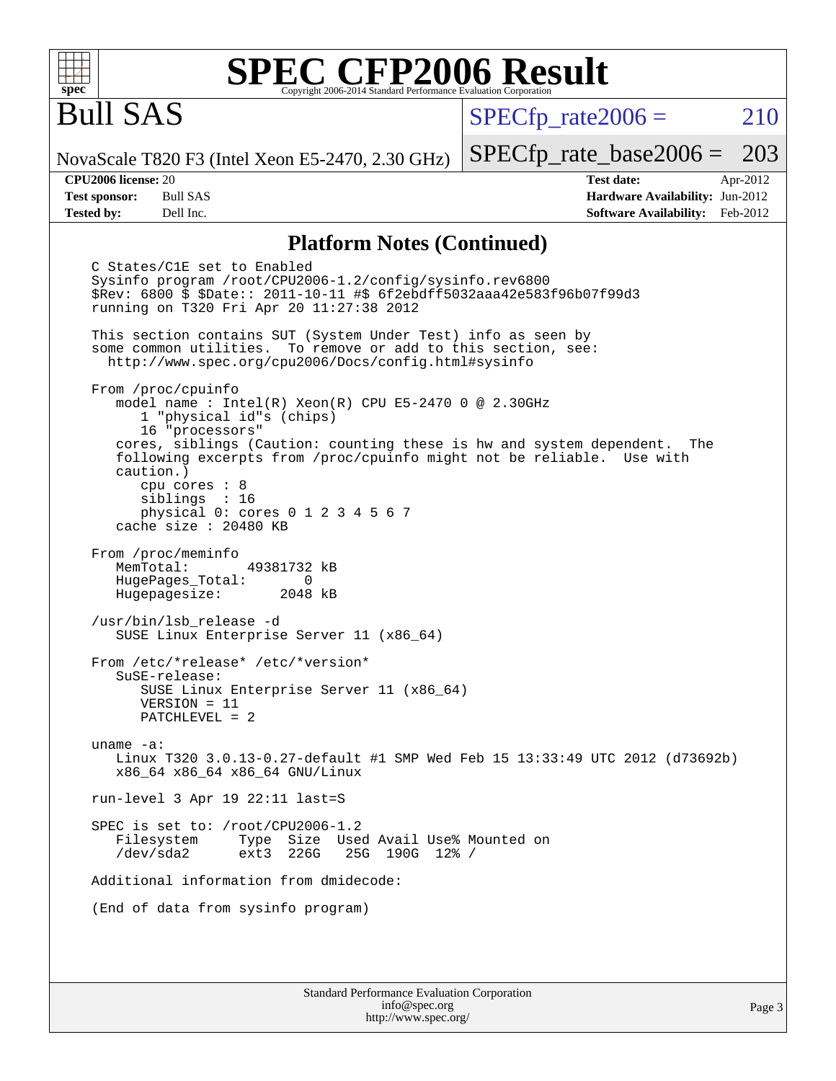

## Bull SAS

 $SPECTp\_rate2006 = 210$ 

NovaScale T820 F3 (Intel Xeon E5-2470, 2.30 GHz)

[SPECfp\\_rate\\_base2006 =](http://www.spec.org/auto/cpu2006/Docs/result-fields.html#SPECfpratebase2006) 203 **[CPU2006 license:](http://www.spec.org/auto/cpu2006/Docs/result-fields.html#CPU2006license)** 20 **[Test date:](http://www.spec.org/auto/cpu2006/Docs/result-fields.html#Testdate)** Apr-2012

**[Test sponsor:](http://www.spec.org/auto/cpu2006/Docs/result-fields.html#Testsponsor)** Bull SAS **[Hardware Availability:](http://www.spec.org/auto/cpu2006/Docs/result-fields.html#HardwareAvailability)** Jun-2012 **[Tested by:](http://www.spec.org/auto/cpu2006/Docs/result-fields.html#Testedby)** Dell Inc. **[Software Availability:](http://www.spec.org/auto/cpu2006/Docs/result-fields.html#SoftwareAvailability)** Feb-2012

#### **[Platform Notes \(Continued\)](http://www.spec.org/auto/cpu2006/Docs/result-fields.html#PlatformNotes)**

 C States/C1E set to Enabled Sysinfo program /root/CPU2006-1.2/config/sysinfo.rev6800 \$Rev: 6800 \$ \$Date:: 2011-10-11 #\$ 6f2ebdff5032aaa42e583f96b07f99d3 running on T320 Fri Apr 20 11:27:38 2012 This section contains SUT (System Under Test) info as seen by some common utilities. To remove or add to this section, see: <http://www.spec.org/cpu2006/Docs/config.html#sysinfo> From /proc/cpuinfo model name : Intel(R) Xeon(R) CPU E5-2470 0 @ 2.30GHz 1 "physical id"s (chips) 16 "processors" cores, siblings (Caution: counting these is hw and system dependent. The following excerpts from /proc/cpuinfo might not be reliable. Use with caution.) cpu cores : 8 siblings : 16 physical 0: cores 0 1 2 3 4 5 6 7 cache size : 20480 KB From /proc/meminfo MemTotal: 49381732 kB HugePages\_Total: 0<br>Hugepagesize: 2048 kB Hugepagesize: /usr/bin/lsb\_release -d SUSE Linux Enterprise Server 11 (x86\_64) From /etc/\*release\* /etc/\*version\* SuSE-release: SUSE Linux Enterprise Server 11 (x86\_64) VERSION = 11 PATCHLEVEL = 2 uname -a: Linux T320 3.0.13-0.27-default #1 SMP Wed Feb 15 13:33:49 UTC 2012 (d73692b) x86\_64 x86\_64 x86\_64 GNU/Linux run-level 3 Apr 19 22:11 last=S SPEC is set to: /root/CPU2006-1.2 Filesystem Type Size Used Avail Use% Mounted on<br>
/dev/sda2 ext3 226G 25G 190G 12% / 25G 190G 12% / Additional information from dmidecode: (End of data from sysinfo program)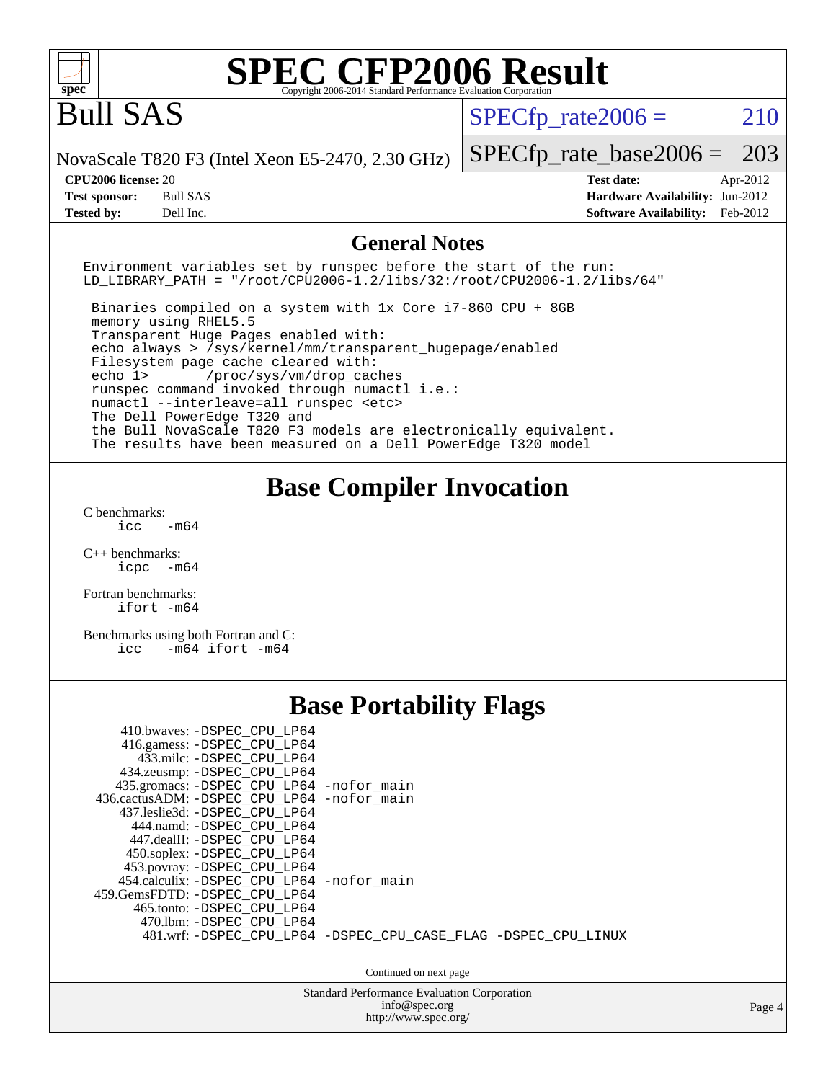| $spec^*$                                                                                                                                                                                                                                                                                                                                                                                                                                                                                                                                                                                 | Copyright 2006-2014 Standard Performance Evaluation Corporation | <b>SPEC CFP2006 Result</b>                                                            |                      |  |
|------------------------------------------------------------------------------------------------------------------------------------------------------------------------------------------------------------------------------------------------------------------------------------------------------------------------------------------------------------------------------------------------------------------------------------------------------------------------------------------------------------------------------------------------------------------------------------------|-----------------------------------------------------------------|---------------------------------------------------------------------------------------|----------------------|--|
| <b>Bull SAS</b>                                                                                                                                                                                                                                                                                                                                                                                                                                                                                                                                                                          |                                                                 | $SPECfp\_rate2006 =$                                                                  | 210                  |  |
| NovaScale T820 F3 (Intel Xeon E5-2470, 2.30 GHz)                                                                                                                                                                                                                                                                                                                                                                                                                                                                                                                                         |                                                                 | $SPECfp\_rate\_base2006 =$                                                            | 203                  |  |
| CPU2006 license: 20<br><b>Test sponsor:</b><br><b>Bull SAS</b><br>Dell Inc.<br><b>Tested by:</b>                                                                                                                                                                                                                                                                                                                                                                                                                                                                                         |                                                                 | <b>Test date:</b><br>Hardware Availability: Jun-2012<br><b>Software Availability:</b> | Apr-2012<br>Feb-2012 |  |
|                                                                                                                                                                                                                                                                                                                                                                                                                                                                                                                                                                                          | <b>General Notes</b>                                            |                                                                                       |                      |  |
| Environment variables set by runspec before the start of the run:<br>LD_LIBRARY_PATH = "/root/CPU2006-1.2/libs/32:/root/CPU2006-1.2/libs/64"                                                                                                                                                                                                                                                                                                                                                                                                                                             |                                                                 |                                                                                       |                      |  |
| Binaries compiled on a system with 1x Core i7-860 CPU + 8GB<br>memory using RHEL5.5<br>Transparent Huge Pages enabled with:<br>echo always > /sys/kernel/mm/transparent_hugepage/enabled<br>Filesystem page cache cleared with:<br>echo 1><br>/proc/sys/vm/drop_caches<br>runspec command invoked through numactl i.e.:<br>numactl --interleave=all runspec <etc><br/>The Dell PowerEdge T320 and<br/>the Bull NovaScale T820 F3 models are electronically equivalent.<br/>The results have been measured on a Dell PowerEdge T320 model</etc>                                           |                                                                 |                                                                                       |                      |  |
| C benchmarks:<br>icc<br>$-m64$<br>$C_{++}$ benchmarks:<br>icpc -m64<br>Fortran benchmarks:<br>ifort -m64<br>Benchmarks using both Fortran and C:<br>$-m64$ ifort $-m64$<br>icc                                                                                                                                                                                                                                                                                                                                                                                                           |                                                                 | <b>Base Compiler Invocation</b>                                                       |                      |  |
|                                                                                                                                                                                                                                                                                                                                                                                                                                                                                                                                                                                          | <b>Base Portability Flags</b>                                   |                                                                                       |                      |  |
| 410.bwaves: - DSPEC_CPU_LP64<br>416.gamess: -DSPEC_CPU_LP64<br>433.milc: -DSPEC_CPU_LP64<br>434.zeusmp: -DSPEC_CPU_LP64<br>435.gromacs: -DSPEC_CPU_LP64 -nofor_main<br>436.cactusADM: -DSPEC_CPU_LP64 -nofor_main<br>437.leslie3d: -DSPEC_CPU_LP64<br>444.namd: - DSPEC CPU LP64<br>447.dealII: -DSPEC_CPU_LP64<br>450.soplex: -DSPEC_CPU_LP64<br>453.povray: -DSPEC_CPU_LP64<br>454.calculix: -DSPEC_CPU_LP64 -nofor_main<br>459.GemsFDTD: - DSPEC_CPU_LP64<br>465.tonto: -DSPEC_CPU_LP64<br>470.1bm: -DSPEC_CPU_LP64<br>481.wrf: -DSPEC_CPU_LP64 -DSPEC_CPU_CASE_FLAG -DSPEC_CPU_LINUX | Continued on next page                                          |                                                                                       |                      |  |
| <b>Standard Performance Evaluation Corporation</b><br>info@spec.org<br>Page 4                                                                                                                                                                                                                                                                                                                                                                                                                                                                                                            |                                                                 |                                                                                       |                      |  |
|                                                                                                                                                                                                                                                                                                                                                                                                                                                                                                                                                                                          | http://www.spec.org/                                            |                                                                                       |                      |  |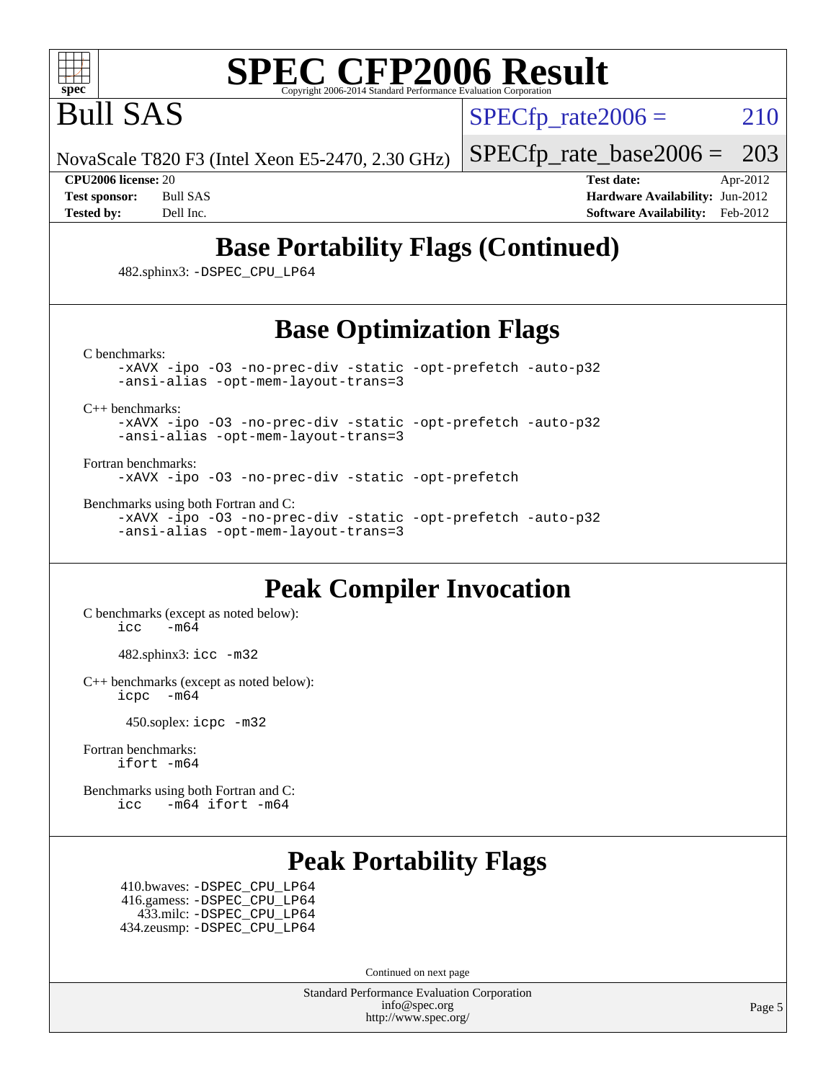

Bull SAS

 $SPECTp\_rate2006 = 210$ 

NovaScale T820 F3 (Intel Xeon E5-2470, 2.30 GHz) [SPECfp\\_rate\\_base2006 =](http://www.spec.org/auto/cpu2006/Docs/result-fields.html#SPECfpratebase2006) 203

**[CPU2006 license:](http://www.spec.org/auto/cpu2006/Docs/result-fields.html#CPU2006license)** 20 **[Test date:](http://www.spec.org/auto/cpu2006/Docs/result-fields.html#Testdate)** Apr-2012 **[Test sponsor:](http://www.spec.org/auto/cpu2006/Docs/result-fields.html#Testsponsor)** Bull SAS **[Hardware Availability:](http://www.spec.org/auto/cpu2006/Docs/result-fields.html#HardwareAvailability)** Jun-2012 **[Tested by:](http://www.spec.org/auto/cpu2006/Docs/result-fields.html#Testedby)** Dell Inc. **[Software Availability:](http://www.spec.org/auto/cpu2006/Docs/result-fields.html#SoftwareAvailability)** Feb-2012

## **[Base Portability Flags \(Continued\)](http://www.spec.org/auto/cpu2006/Docs/result-fields.html#BasePortabilityFlags)**

482.sphinx3: [-DSPEC\\_CPU\\_LP64](http://www.spec.org/cpu2006/results/res2012q3/cpu2006-20120703-23406.flags.html#suite_basePORTABILITY482_sphinx3_DSPEC_CPU_LP64)

## **[Base Optimization Flags](http://www.spec.org/auto/cpu2006/Docs/result-fields.html#BaseOptimizationFlags)**

[C benchmarks](http://www.spec.org/auto/cpu2006/Docs/result-fields.html#Cbenchmarks):

[-xAVX](http://www.spec.org/cpu2006/results/res2012q3/cpu2006-20120703-23406.flags.html#user_CCbase_f-xAVX) [-ipo](http://www.spec.org/cpu2006/results/res2012q3/cpu2006-20120703-23406.flags.html#user_CCbase_f-ipo) [-O3](http://www.spec.org/cpu2006/results/res2012q3/cpu2006-20120703-23406.flags.html#user_CCbase_f-O3) [-no-prec-div](http://www.spec.org/cpu2006/results/res2012q3/cpu2006-20120703-23406.flags.html#user_CCbase_f-no-prec-div) [-static](http://www.spec.org/cpu2006/results/res2012q3/cpu2006-20120703-23406.flags.html#user_CCbase_f-static) [-opt-prefetch](http://www.spec.org/cpu2006/results/res2012q3/cpu2006-20120703-23406.flags.html#user_CCbase_f-opt-prefetch) [-auto-p32](http://www.spec.org/cpu2006/results/res2012q3/cpu2006-20120703-23406.flags.html#user_CCbase_f-auto-p32) [-ansi-alias](http://www.spec.org/cpu2006/results/res2012q3/cpu2006-20120703-23406.flags.html#user_CCbase_f-ansi-alias) [-opt-mem-layout-trans=3](http://www.spec.org/cpu2006/results/res2012q3/cpu2006-20120703-23406.flags.html#user_CCbase_f-opt-mem-layout-trans_a7b82ad4bd7abf52556d4961a2ae94d5)

[C++ benchmarks:](http://www.spec.org/auto/cpu2006/Docs/result-fields.html#CXXbenchmarks)

[-xAVX](http://www.spec.org/cpu2006/results/res2012q3/cpu2006-20120703-23406.flags.html#user_CXXbase_f-xAVX) [-ipo](http://www.spec.org/cpu2006/results/res2012q3/cpu2006-20120703-23406.flags.html#user_CXXbase_f-ipo) [-O3](http://www.spec.org/cpu2006/results/res2012q3/cpu2006-20120703-23406.flags.html#user_CXXbase_f-O3) [-no-prec-div](http://www.spec.org/cpu2006/results/res2012q3/cpu2006-20120703-23406.flags.html#user_CXXbase_f-no-prec-div) [-static](http://www.spec.org/cpu2006/results/res2012q3/cpu2006-20120703-23406.flags.html#user_CXXbase_f-static) [-opt-prefetch](http://www.spec.org/cpu2006/results/res2012q3/cpu2006-20120703-23406.flags.html#user_CXXbase_f-opt-prefetch) [-auto-p32](http://www.spec.org/cpu2006/results/res2012q3/cpu2006-20120703-23406.flags.html#user_CXXbase_f-auto-p32) [-ansi-alias](http://www.spec.org/cpu2006/results/res2012q3/cpu2006-20120703-23406.flags.html#user_CXXbase_f-ansi-alias) [-opt-mem-layout-trans=3](http://www.spec.org/cpu2006/results/res2012q3/cpu2006-20120703-23406.flags.html#user_CXXbase_f-opt-mem-layout-trans_a7b82ad4bd7abf52556d4961a2ae94d5)

[Fortran benchmarks](http://www.spec.org/auto/cpu2006/Docs/result-fields.html#Fortranbenchmarks):

[-xAVX](http://www.spec.org/cpu2006/results/res2012q3/cpu2006-20120703-23406.flags.html#user_FCbase_f-xAVX) [-ipo](http://www.spec.org/cpu2006/results/res2012q3/cpu2006-20120703-23406.flags.html#user_FCbase_f-ipo) [-O3](http://www.spec.org/cpu2006/results/res2012q3/cpu2006-20120703-23406.flags.html#user_FCbase_f-O3) [-no-prec-div](http://www.spec.org/cpu2006/results/res2012q3/cpu2006-20120703-23406.flags.html#user_FCbase_f-no-prec-div) [-static](http://www.spec.org/cpu2006/results/res2012q3/cpu2006-20120703-23406.flags.html#user_FCbase_f-static) [-opt-prefetch](http://www.spec.org/cpu2006/results/res2012q3/cpu2006-20120703-23406.flags.html#user_FCbase_f-opt-prefetch)

[Benchmarks using both Fortran and C](http://www.spec.org/auto/cpu2006/Docs/result-fields.html#BenchmarksusingbothFortranandC):

[-xAVX](http://www.spec.org/cpu2006/results/res2012q3/cpu2006-20120703-23406.flags.html#user_CC_FCbase_f-xAVX) [-ipo](http://www.spec.org/cpu2006/results/res2012q3/cpu2006-20120703-23406.flags.html#user_CC_FCbase_f-ipo) [-O3](http://www.spec.org/cpu2006/results/res2012q3/cpu2006-20120703-23406.flags.html#user_CC_FCbase_f-O3) [-no-prec-div](http://www.spec.org/cpu2006/results/res2012q3/cpu2006-20120703-23406.flags.html#user_CC_FCbase_f-no-prec-div) [-static](http://www.spec.org/cpu2006/results/res2012q3/cpu2006-20120703-23406.flags.html#user_CC_FCbase_f-static) [-opt-prefetch](http://www.spec.org/cpu2006/results/res2012q3/cpu2006-20120703-23406.flags.html#user_CC_FCbase_f-opt-prefetch) [-auto-p32](http://www.spec.org/cpu2006/results/res2012q3/cpu2006-20120703-23406.flags.html#user_CC_FCbase_f-auto-p32) [-ansi-alias](http://www.spec.org/cpu2006/results/res2012q3/cpu2006-20120703-23406.flags.html#user_CC_FCbase_f-ansi-alias) [-opt-mem-layout-trans=3](http://www.spec.org/cpu2006/results/res2012q3/cpu2006-20120703-23406.flags.html#user_CC_FCbase_f-opt-mem-layout-trans_a7b82ad4bd7abf52556d4961a2ae94d5)

## **[Peak Compiler Invocation](http://www.spec.org/auto/cpu2006/Docs/result-fields.html#PeakCompilerInvocation)**

[C benchmarks \(except as noted below\)](http://www.spec.org/auto/cpu2006/Docs/result-fields.html#Cbenchmarksexceptasnotedbelow):  $\text{icc}$   $-\text{m64}$ 

482.sphinx3: [icc -m32](http://www.spec.org/cpu2006/results/res2012q3/cpu2006-20120703-23406.flags.html#user_peakCCLD482_sphinx3_intel_icc_a6a621f8d50482236b970c6ac5f55f93)

[C++ benchmarks \(except as noted below\):](http://www.spec.org/auto/cpu2006/Docs/result-fields.html#CXXbenchmarksexceptasnotedbelow) [icpc -m64](http://www.spec.org/cpu2006/results/res2012q3/cpu2006-20120703-23406.flags.html#user_CXXpeak_intel_icpc_64bit_bedb90c1146cab66620883ef4f41a67e)

450.soplex: [icpc -m32](http://www.spec.org/cpu2006/results/res2012q3/cpu2006-20120703-23406.flags.html#user_peakCXXLD450_soplex_intel_icpc_4e5a5ef1a53fd332b3c49e69c3330699)

[Fortran benchmarks](http://www.spec.org/auto/cpu2006/Docs/result-fields.html#Fortranbenchmarks): [ifort -m64](http://www.spec.org/cpu2006/results/res2012q3/cpu2006-20120703-23406.flags.html#user_FCpeak_intel_ifort_64bit_ee9d0fb25645d0210d97eb0527dcc06e)

[Benchmarks using both Fortran and C](http://www.spec.org/auto/cpu2006/Docs/result-fields.html#BenchmarksusingbothFortranandC): [icc -m64](http://www.spec.org/cpu2006/results/res2012q3/cpu2006-20120703-23406.flags.html#user_CC_FCpeak_intel_icc_64bit_0b7121f5ab7cfabee23d88897260401c) [ifort -m64](http://www.spec.org/cpu2006/results/res2012q3/cpu2006-20120703-23406.flags.html#user_CC_FCpeak_intel_ifort_64bit_ee9d0fb25645d0210d97eb0527dcc06e)

## **[Peak Portability Flags](http://www.spec.org/auto/cpu2006/Docs/result-fields.html#PeakPortabilityFlags)**

 410.bwaves: [-DSPEC\\_CPU\\_LP64](http://www.spec.org/cpu2006/results/res2012q3/cpu2006-20120703-23406.flags.html#suite_peakPORTABILITY410_bwaves_DSPEC_CPU_LP64) 416.gamess: [-DSPEC\\_CPU\\_LP64](http://www.spec.org/cpu2006/results/res2012q3/cpu2006-20120703-23406.flags.html#suite_peakPORTABILITY416_gamess_DSPEC_CPU_LP64) 433.milc: [-DSPEC\\_CPU\\_LP64](http://www.spec.org/cpu2006/results/res2012q3/cpu2006-20120703-23406.flags.html#suite_peakPORTABILITY433_milc_DSPEC_CPU_LP64) 434.zeusmp: [-DSPEC\\_CPU\\_LP64](http://www.spec.org/cpu2006/results/res2012q3/cpu2006-20120703-23406.flags.html#suite_peakPORTABILITY434_zeusmp_DSPEC_CPU_LP64)

Continued on next page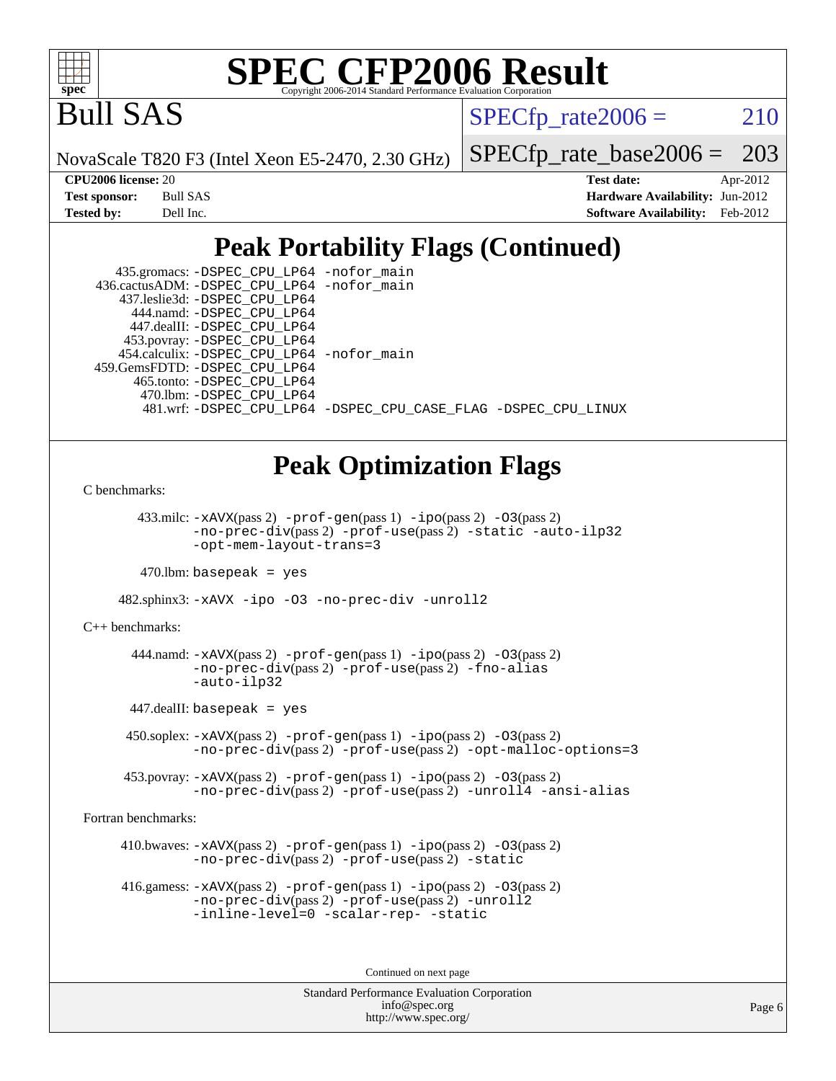

Bull SAS

 $SPECTp\_rate2006 = 210$ 

NovaScale T820 F3 (Intel Xeon E5-2470, 2.30 GHz)

[SPECfp\\_rate\\_base2006 =](http://www.spec.org/auto/cpu2006/Docs/result-fields.html#SPECfpratebase2006) 203

| Test sponsor: | Bull SAS  |
|---------------|-----------|
| Tested by:    | Dell Inc. |

**[CPU2006 license:](http://www.spec.org/auto/cpu2006/Docs/result-fields.html#CPU2006license)** 20 **[Test date:](http://www.spec.org/auto/cpu2006/Docs/result-fields.html#Testdate)** Apr-2012 **[Hardware Availability:](http://www.spec.org/auto/cpu2006/Docs/result-fields.html#HardwareAvailability)** Jun-2012 **[Software Availability:](http://www.spec.org/auto/cpu2006/Docs/result-fields.html#SoftwareAvailability)** Feb-2012

## **[Peak Portability Flags \(Continued\)](http://www.spec.org/auto/cpu2006/Docs/result-fields.html#PeakPortabilityFlags)**

| 435.gromacs: -DSPEC_CPU_LP64 -nofor_main     |                                                                |
|----------------------------------------------|----------------------------------------------------------------|
| 436.cactusADM: - DSPEC CPU LP64 - nofor main |                                                                |
| 437.leslie3d: -DSPEC CPU LP64                |                                                                |
| 444.namd: - DSPEC CPU LP64                   |                                                                |
| 447.dealII: -DSPEC CPU LP64                  |                                                                |
| 453.povray: -DSPEC_CPU_LP64                  |                                                                |
| 454.calculix: - DSPEC_CPU_LP64 -nofor_main   |                                                                |
| 459. GemsFDTD: - DSPEC CPU LP64              |                                                                |
| 465.tonto: -DSPEC CPU LP64                   |                                                                |
| 470.1bm: - DSPEC CPU LP64                    |                                                                |
|                                              | 481.wrf: -DSPEC CPU_LP64 -DSPEC_CPU_CASE_FLAG -DSPEC_CPU_LINUX |

## **[Peak Optimization Flags](http://www.spec.org/auto/cpu2006/Docs/result-fields.html#PeakOptimizationFlags)**

[C benchmarks](http://www.spec.org/auto/cpu2006/Docs/result-fields.html#Cbenchmarks):

 433.milc: [-xAVX](http://www.spec.org/cpu2006/results/res2012q3/cpu2006-20120703-23406.flags.html#user_peakPASS2_CFLAGSPASS2_LDFLAGS433_milc_f-xAVX)(pass 2) [-prof-gen](http://www.spec.org/cpu2006/results/res2012q3/cpu2006-20120703-23406.flags.html#user_peakPASS1_CFLAGSPASS1_LDFLAGS433_milc_prof_gen_e43856698f6ca7b7e442dfd80e94a8fc)(pass 1) [-ipo](http://www.spec.org/cpu2006/results/res2012q3/cpu2006-20120703-23406.flags.html#user_peakPASS2_CFLAGSPASS2_LDFLAGS433_milc_f-ipo)(pass 2) [-O3](http://www.spec.org/cpu2006/results/res2012q3/cpu2006-20120703-23406.flags.html#user_peakPASS2_CFLAGSPASS2_LDFLAGS433_milc_f-O3)(pass 2) [-no-prec-div](http://www.spec.org/cpu2006/results/res2012q3/cpu2006-20120703-23406.flags.html#user_peakPASS2_CFLAGSPASS2_LDFLAGS433_milc_f-no-prec-div)(pass 2) [-prof-use](http://www.spec.org/cpu2006/results/res2012q3/cpu2006-20120703-23406.flags.html#user_peakPASS2_CFLAGSPASS2_LDFLAGS433_milc_prof_use_bccf7792157ff70d64e32fe3e1250b55)(pass 2) [-static](http://www.spec.org/cpu2006/results/res2012q3/cpu2006-20120703-23406.flags.html#user_peakOPTIMIZE433_milc_f-static) [-auto-ilp32](http://www.spec.org/cpu2006/results/res2012q3/cpu2006-20120703-23406.flags.html#user_peakCOPTIMIZE433_milc_f-auto-ilp32) [-opt-mem-layout-trans=3](http://www.spec.org/cpu2006/results/res2012q3/cpu2006-20120703-23406.flags.html#user_peakCOPTIMIZE433_milc_f-opt-mem-layout-trans_a7b82ad4bd7abf52556d4961a2ae94d5)

 $470.$ lbm: basepeak = yes

482.sphinx3: [-xAVX](http://www.spec.org/cpu2006/results/res2012q3/cpu2006-20120703-23406.flags.html#user_peakOPTIMIZE482_sphinx3_f-xAVX) [-ipo](http://www.spec.org/cpu2006/results/res2012q3/cpu2006-20120703-23406.flags.html#user_peakOPTIMIZE482_sphinx3_f-ipo) [-O3](http://www.spec.org/cpu2006/results/res2012q3/cpu2006-20120703-23406.flags.html#user_peakOPTIMIZE482_sphinx3_f-O3) [-no-prec-div](http://www.spec.org/cpu2006/results/res2012q3/cpu2006-20120703-23406.flags.html#user_peakOPTIMIZE482_sphinx3_f-no-prec-div) [-unroll2](http://www.spec.org/cpu2006/results/res2012q3/cpu2006-20120703-23406.flags.html#user_peakCOPTIMIZE482_sphinx3_f-unroll_784dae83bebfb236979b41d2422d7ec2)

[C++ benchmarks:](http://www.spec.org/auto/cpu2006/Docs/result-fields.html#CXXbenchmarks)

 444.namd: [-xAVX](http://www.spec.org/cpu2006/results/res2012q3/cpu2006-20120703-23406.flags.html#user_peakPASS2_CXXFLAGSPASS2_LDFLAGS444_namd_f-xAVX)(pass 2) [-prof-gen](http://www.spec.org/cpu2006/results/res2012q3/cpu2006-20120703-23406.flags.html#user_peakPASS1_CXXFLAGSPASS1_LDFLAGS444_namd_prof_gen_e43856698f6ca7b7e442dfd80e94a8fc)(pass 1) [-ipo](http://www.spec.org/cpu2006/results/res2012q3/cpu2006-20120703-23406.flags.html#user_peakPASS2_CXXFLAGSPASS2_LDFLAGS444_namd_f-ipo)(pass 2) [-O3](http://www.spec.org/cpu2006/results/res2012q3/cpu2006-20120703-23406.flags.html#user_peakPASS2_CXXFLAGSPASS2_LDFLAGS444_namd_f-O3)(pass 2) [-no-prec-div](http://www.spec.org/cpu2006/results/res2012q3/cpu2006-20120703-23406.flags.html#user_peakPASS2_CXXFLAGSPASS2_LDFLAGS444_namd_f-no-prec-div)(pass 2) [-prof-use](http://www.spec.org/cpu2006/results/res2012q3/cpu2006-20120703-23406.flags.html#user_peakPASS2_CXXFLAGSPASS2_LDFLAGS444_namd_prof_use_bccf7792157ff70d64e32fe3e1250b55)(pass 2) [-fno-alias](http://www.spec.org/cpu2006/results/res2012q3/cpu2006-20120703-23406.flags.html#user_peakCXXOPTIMIZE444_namd_f-no-alias_694e77f6c5a51e658e82ccff53a9e63a) [-auto-ilp32](http://www.spec.org/cpu2006/results/res2012q3/cpu2006-20120703-23406.flags.html#user_peakCXXOPTIMIZE444_namd_f-auto-ilp32)

447.dealII: basepeak = yes

 450.soplex: [-xAVX](http://www.spec.org/cpu2006/results/res2012q3/cpu2006-20120703-23406.flags.html#user_peakPASS2_CXXFLAGSPASS2_LDFLAGS450_soplex_f-xAVX)(pass 2) [-prof-gen](http://www.spec.org/cpu2006/results/res2012q3/cpu2006-20120703-23406.flags.html#user_peakPASS1_CXXFLAGSPASS1_LDFLAGS450_soplex_prof_gen_e43856698f6ca7b7e442dfd80e94a8fc)(pass 1) [-ipo](http://www.spec.org/cpu2006/results/res2012q3/cpu2006-20120703-23406.flags.html#user_peakPASS2_CXXFLAGSPASS2_LDFLAGS450_soplex_f-ipo)(pass 2) [-O3](http://www.spec.org/cpu2006/results/res2012q3/cpu2006-20120703-23406.flags.html#user_peakPASS2_CXXFLAGSPASS2_LDFLAGS450_soplex_f-O3)(pass 2) [-no-prec-div](http://www.spec.org/cpu2006/results/res2012q3/cpu2006-20120703-23406.flags.html#user_peakPASS2_CXXFLAGSPASS2_LDFLAGS450_soplex_f-no-prec-div)(pass 2) [-prof-use](http://www.spec.org/cpu2006/results/res2012q3/cpu2006-20120703-23406.flags.html#user_peakPASS2_CXXFLAGSPASS2_LDFLAGS450_soplex_prof_use_bccf7792157ff70d64e32fe3e1250b55)(pass 2) [-opt-malloc-options=3](http://www.spec.org/cpu2006/results/res2012q3/cpu2006-20120703-23406.flags.html#user_peakOPTIMIZE450_soplex_f-opt-malloc-options_13ab9b803cf986b4ee62f0a5998c2238)

 453.povray: [-xAVX](http://www.spec.org/cpu2006/results/res2012q3/cpu2006-20120703-23406.flags.html#user_peakPASS2_CXXFLAGSPASS2_LDFLAGS453_povray_f-xAVX)(pass 2) [-prof-gen](http://www.spec.org/cpu2006/results/res2012q3/cpu2006-20120703-23406.flags.html#user_peakPASS1_CXXFLAGSPASS1_LDFLAGS453_povray_prof_gen_e43856698f6ca7b7e442dfd80e94a8fc)(pass 1) [-ipo](http://www.spec.org/cpu2006/results/res2012q3/cpu2006-20120703-23406.flags.html#user_peakPASS2_CXXFLAGSPASS2_LDFLAGS453_povray_f-ipo)(pass 2) [-O3](http://www.spec.org/cpu2006/results/res2012q3/cpu2006-20120703-23406.flags.html#user_peakPASS2_CXXFLAGSPASS2_LDFLAGS453_povray_f-O3)(pass 2) [-no-prec-div](http://www.spec.org/cpu2006/results/res2012q3/cpu2006-20120703-23406.flags.html#user_peakPASS2_CXXFLAGSPASS2_LDFLAGS453_povray_f-no-prec-div)(pass 2) [-prof-use](http://www.spec.org/cpu2006/results/res2012q3/cpu2006-20120703-23406.flags.html#user_peakPASS2_CXXFLAGSPASS2_LDFLAGS453_povray_prof_use_bccf7792157ff70d64e32fe3e1250b55)(pass 2) [-unroll4](http://www.spec.org/cpu2006/results/res2012q3/cpu2006-20120703-23406.flags.html#user_peakCXXOPTIMIZE453_povray_f-unroll_4e5e4ed65b7fd20bdcd365bec371b81f) [-ansi-alias](http://www.spec.org/cpu2006/results/res2012q3/cpu2006-20120703-23406.flags.html#user_peakCXXOPTIMIZE453_povray_f-ansi-alias)

[Fortran benchmarks](http://www.spec.org/auto/cpu2006/Docs/result-fields.html#Fortranbenchmarks):

410.bwaves:  $-x$ AVX(pass 2)  $-p$ rof-gen(pass 1)  $-p$ o(pass 2)  $-03$ (pass 2) [-no-prec-div](http://www.spec.org/cpu2006/results/res2012q3/cpu2006-20120703-23406.flags.html#user_peakPASS2_FFLAGSPASS2_LDFLAGS410_bwaves_f-no-prec-div)(pass 2) [-prof-use](http://www.spec.org/cpu2006/results/res2012q3/cpu2006-20120703-23406.flags.html#user_peakPASS2_FFLAGSPASS2_LDFLAGS410_bwaves_prof_use_bccf7792157ff70d64e32fe3e1250b55)(pass 2) [-static](http://www.spec.org/cpu2006/results/res2012q3/cpu2006-20120703-23406.flags.html#user_peakOPTIMIZE410_bwaves_f-static)

 416.gamess: [-xAVX](http://www.spec.org/cpu2006/results/res2012q3/cpu2006-20120703-23406.flags.html#user_peakPASS2_FFLAGSPASS2_LDFLAGS416_gamess_f-xAVX)(pass 2) [-prof-gen](http://www.spec.org/cpu2006/results/res2012q3/cpu2006-20120703-23406.flags.html#user_peakPASS1_FFLAGSPASS1_LDFLAGS416_gamess_prof_gen_e43856698f6ca7b7e442dfd80e94a8fc)(pass 1) [-ipo](http://www.spec.org/cpu2006/results/res2012q3/cpu2006-20120703-23406.flags.html#user_peakPASS2_FFLAGSPASS2_LDFLAGS416_gamess_f-ipo)(pass 2) [-O3](http://www.spec.org/cpu2006/results/res2012q3/cpu2006-20120703-23406.flags.html#user_peakPASS2_FFLAGSPASS2_LDFLAGS416_gamess_f-O3)(pass 2) [-no-prec-div](http://www.spec.org/cpu2006/results/res2012q3/cpu2006-20120703-23406.flags.html#user_peakPASS2_FFLAGSPASS2_LDFLAGS416_gamess_f-no-prec-div)(pass 2) [-prof-use](http://www.spec.org/cpu2006/results/res2012q3/cpu2006-20120703-23406.flags.html#user_peakPASS2_FFLAGSPASS2_LDFLAGS416_gamess_prof_use_bccf7792157ff70d64e32fe3e1250b55)(pass 2) [-unroll2](http://www.spec.org/cpu2006/results/res2012q3/cpu2006-20120703-23406.flags.html#user_peakOPTIMIZE416_gamess_f-unroll_784dae83bebfb236979b41d2422d7ec2) [-inline-level=0](http://www.spec.org/cpu2006/results/res2012q3/cpu2006-20120703-23406.flags.html#user_peakOPTIMIZE416_gamess_f-inline-level_318d07a09274ad25e8d15dbfaa68ba50) [-scalar-rep-](http://www.spec.org/cpu2006/results/res2012q3/cpu2006-20120703-23406.flags.html#user_peakOPTIMIZE416_gamess_f-disablescalarrep_abbcad04450fb118e4809c81d83c8a1d) [-static](http://www.spec.org/cpu2006/results/res2012q3/cpu2006-20120703-23406.flags.html#user_peakOPTIMIZE416_gamess_f-static)

Continued on next page